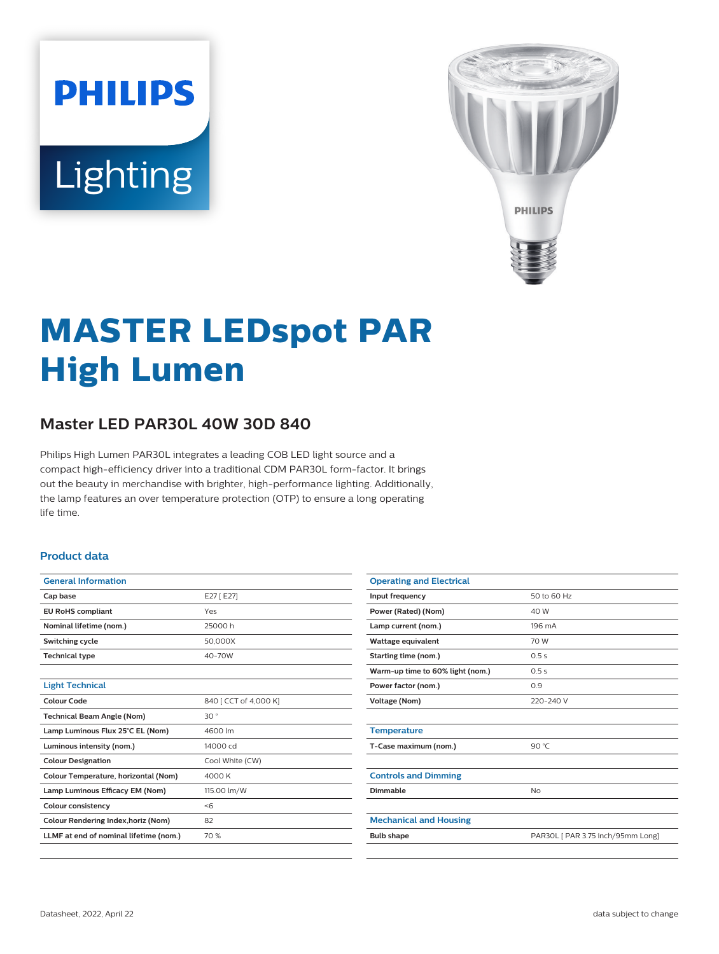# **PHILIPS** Lighting



# **MASTER LEDspot PAR High Lumen**

# **Master LED PAR30L 40W 30D 840**

Philips High Lumen PAR30L integrates a leading COB LED light source and a compact high-efficiency driver into a traditional CDM PAR30L form-factor. It brings out the beauty in merchandise with brighter, high-performance lighting. Additionally, the lamp features an over temperature protection (OTP) to ensure a long operating life time.

#### **Product data**

| <b>General Information</b>             |                       |
|----------------------------------------|-----------------------|
| Cap base                               | E27 [E27]             |
| <b>EU RoHS compliant</b>               | Yes                   |
| Nominal lifetime (nom.)                | 25000 h               |
| Switching cycle                        | 50,000X               |
| <b>Technical type</b>                  | 40-70W                |
|                                        |                       |
| <b>Light Technical</b>                 |                       |
| Colour Code                            | 840 [ CCT of 4,000 K] |
| <b>Technical Beam Angle (Nom)</b>      | 30°                   |
| Lamp Luminous Flux 25°C EL (Nom)       | 4600 lm               |
| Luminous intensity (nom.)              | 14000 cd              |
| <b>Colour Designation</b>              | Cool White (CW)       |
| Colour Temperature, horizontal (Nom)   | 4000 K                |
| Lamp Luminous Efficacy EM (Nom)        | 115.00 lm/W           |
| <b>Colour consistency</b>              | < 6                   |
| Colour Rendering Index, horiz (Nom)    | 82                    |
| LLMF at end of nominal lifetime (nom.) | 70 %                  |
|                                        |                       |

| <b>Operating and Electrical</b>  |                                   |
|----------------------------------|-----------------------------------|
| Input frequency                  | 50 to 60 Hz                       |
| Power (Rated) (Nom)              | 40 W                              |
| Lamp current (nom.)              | 196 mA                            |
| <b>Wattage equivalent</b>        | 70 W                              |
| Starting time (nom.)             | 0.5s                              |
| Warm-up time to 60% light (nom.) | 0.5s                              |
| Power factor (nom.)              | 0.9                               |
| Voltage (Nom)                    | 220-240 V                         |
|                                  |                                   |
| <b>Temperature</b>               |                                   |
| T-Case maximum (nom.)            | 90 $°C$                           |
|                                  |                                   |
| <b>Controls and Dimming</b>      |                                   |
| Dimmable                         | <b>No</b>                         |
|                                  |                                   |
| <b>Mechanical and Housing</b>    |                                   |
| <b>Bulb shape</b>                | PAR30L [ PAR 3.75 inch/95mm Long] |
|                                  |                                   |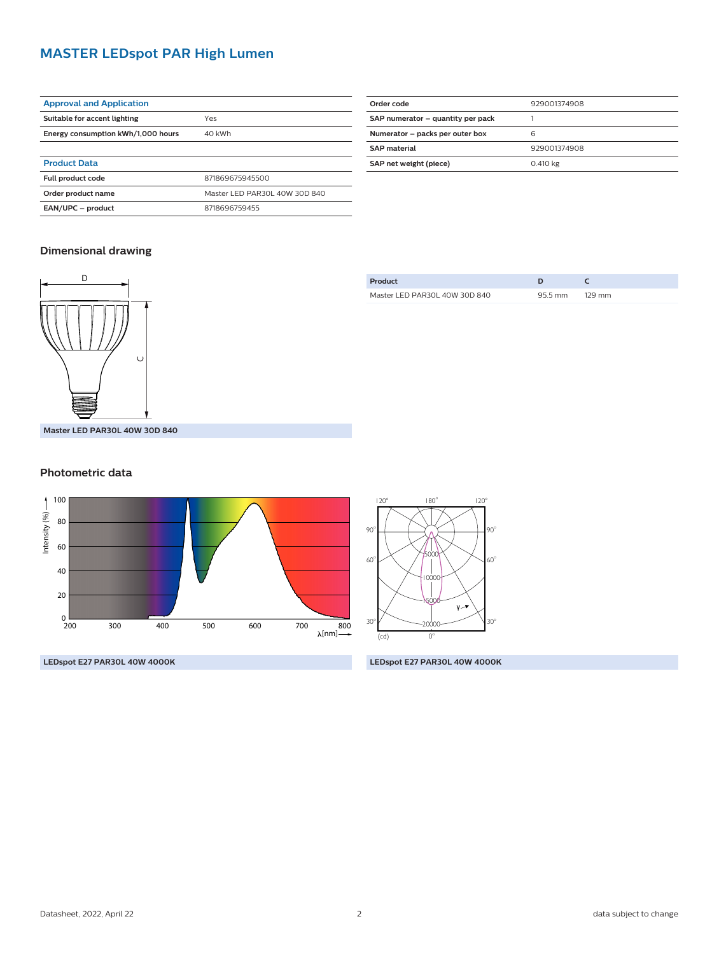### **MASTER LEDspot PAR High Lumen**

| <b>Approval and Application</b>    |                 |
|------------------------------------|-----------------|
| Suitable for accent lighting       | Yes             |
| Energy consumption kWh/1,000 hours | 40 kWh          |
|                                    |                 |
| <b>Product Data</b>                |                 |
| <b>Full product code</b>           | 871869675945500 |

**Order product name** Master LED PAR30L 40W 30D 840

**EAN/UPC – product** 8718696759455

| Order code                        | 929001374908 |
|-----------------------------------|--------------|
| SAP numerator - quantity per pack |              |
| Numerator - packs per outer box   | 6            |
| <b>SAP</b> material               | 929001374908 |
| SAP net weight (piece)            | 0.410 kg     |

#### **Dimensional drawing**



#### **Product D C** Master LED PAR30L 40W 30D 840 95.5 mm 129 mm

#### **Photometric data**



**LEDspot E27 PAR30L 40W 4000K**

**LEDspot E27 PAR30L 40W 4000K**

 $\sim$ 20000  $\sim$  30°

15000

60 <sup>o</sup> <sup>o</sup>

5000 ı non

 $\circ$   $\rightarrow$   $\circ$   $\rightarrow$   $\rightarrow$   $\rightarrow$   $\circ$ 

 $^{o}$  180<sup>o</sup> 120<sup>o</sup>

 $(cd)$  0<sup>o</sup>

120